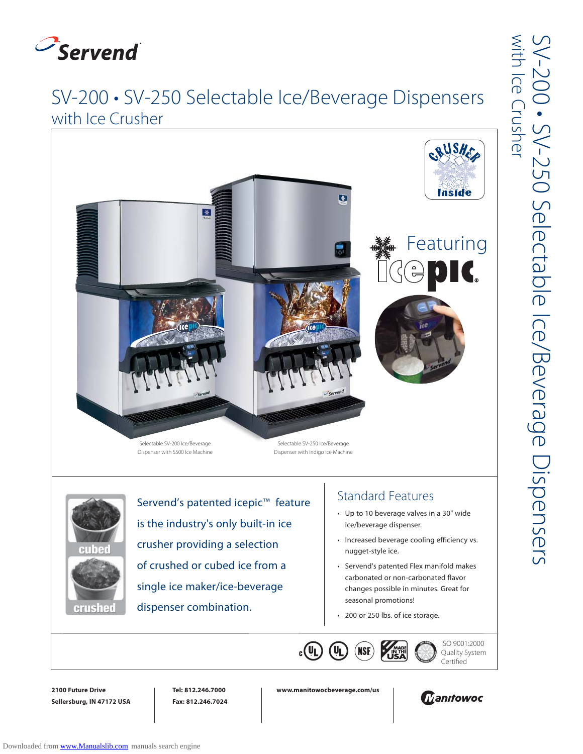

## SV-200 • SV-250 Selectable Ice/Beverage Dispensers with Ice Crusher





Servend's patented icepic™ feature is the industry's only built-in ice crusher providing a selection of crushed or cubed ice from a single ice maker/ice-beverage dispenser combination.

## Standard Features

- Up to 10 beverage valves in a 30" wide ice/beverage dispenser.
- Increased beverage cooling efficiency vs. nugget-style ice.
- Servend's patented Flex manifold makes carbonated or non-carbonated flavor changes possible in minutes. Great for seasonal promotions!
- 200 or 250 lbs. of ice storage.



ISO 9001:2000 Quality System Certified

**2100 Future Drive Sellersburg, IN 47172 USA** **Tel: 812.246.7000 Fax: 812.246.7024** **www.manitowocbeverage.com/us**